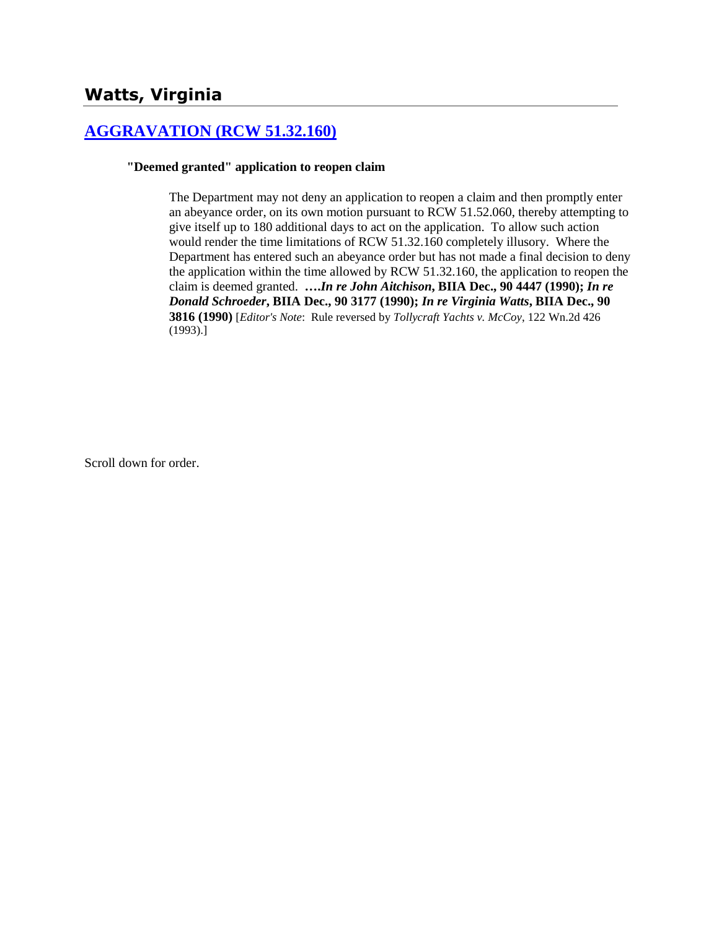# **Watts, Virginia**

## **[AGGRAVATION \(RCW 51.32.160\)](http://www.biia.wa.gov/SDSubjectIndex.html#AGGRAVATION)**

### **"Deemed granted" application to reopen claim**

The Department may not deny an application to reopen a claim and then promptly enter an abeyance order, on its own motion pursuant to RCW 51.52.060, thereby attempting to give itself up to 180 additional days to act on the application. To allow such action would render the time limitations of RCW 51.32.160 completely illusory. Where the Department has entered such an abeyance order but has not made a final decision to deny the application within the time allowed by RCW 51.32.160, the application to reopen the claim is deemed granted. **….***In re John Aitchison***, BIIA Dec., 90 4447 (1990);** *In re Donald Schroeder***, BIIA Dec., 90 3177 (1990);** *In re Virginia Watts***, BIIA Dec., 90 3816 (1990)** [*Editor's Note*: Rule reversed by *Tollycraft Yachts v. McCoy*, 122 Wn.2d 426 (1993).]

Scroll down for order.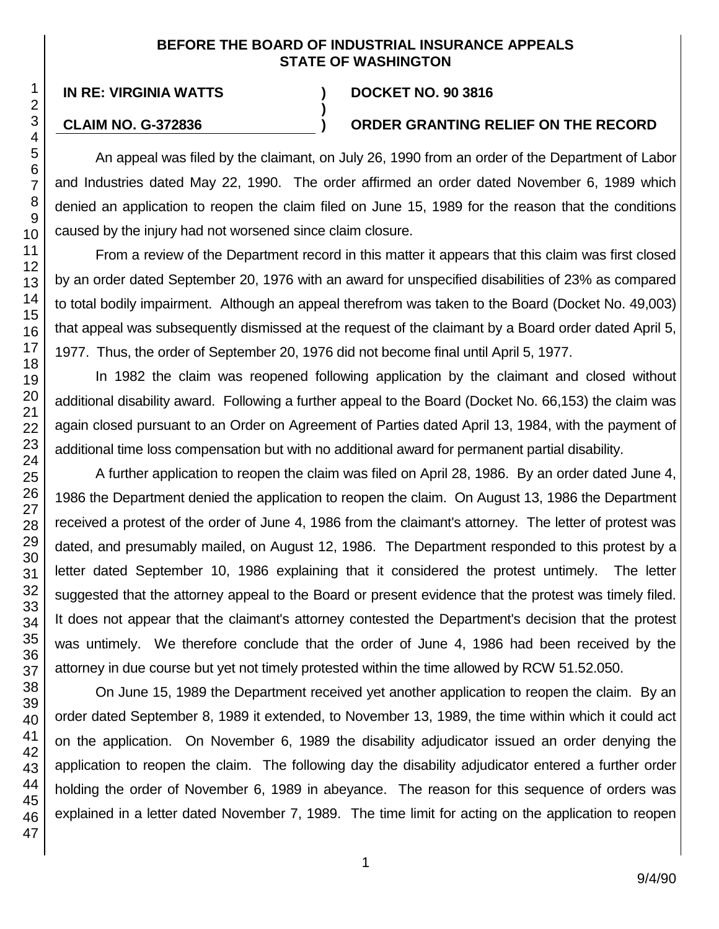### **BEFORE THE BOARD OF INDUSTRIAL INSURANCE APPEALS STATE OF WASHINGTON**

**)**

### **IN RE: VIRGINIA WATTS ) DOCKET NO. 90 3816**

### **CLAIM NO. G-372836 ) ORDER GRANTING RELIEF ON THE RECORD**

An appeal was filed by the claimant, on July 26, 1990 from an order of the Department of Labor and Industries dated May 22, 1990. The order affirmed an order dated November 6, 1989 which denied an application to reopen the claim filed on June 15, 1989 for the reason that the conditions caused by the injury had not worsened since claim closure.

From a review of the Department record in this matter it appears that this claim was first closed by an order dated September 20, 1976 with an award for unspecified disabilities of 23% as compared to total bodily impairment. Although an appeal therefrom was taken to the Board (Docket No. 49,003) that appeal was subsequently dismissed at the request of the claimant by a Board order dated April 5, 1977. Thus, the order of September 20, 1976 did not become final until April 5, 1977.

In 1982 the claim was reopened following application by the claimant and closed without additional disability award. Following a further appeal to the Board (Docket No. 66,153) the claim was again closed pursuant to an Order on Agreement of Parties dated April 13, 1984, with the payment of additional time loss compensation but with no additional award for permanent partial disability.

A further application to reopen the claim was filed on April 28, 1986. By an order dated June 4, 1986 the Department denied the application to reopen the claim. On August 13, 1986 the Department received a protest of the order of June 4, 1986 from the claimant's attorney. The letter of protest was dated, and presumably mailed, on August 12, 1986. The Department responded to this protest by a letter dated September 10, 1986 explaining that it considered the protest untimely. The letter suggested that the attorney appeal to the Board or present evidence that the protest was timely filed. It does not appear that the claimant's attorney contested the Department's decision that the protest was untimely. We therefore conclude that the order of June 4, 1986 had been received by the attorney in due course but yet not timely protested within the time allowed by RCW 51.52.050.

On June 15, 1989 the Department received yet another application to reopen the claim. By an order dated September 8, 1989 it extended, to November 13, 1989, the time within which it could act on the application. On November 6, 1989 the disability adjudicator issued an order denying the application to reopen the claim. The following day the disability adjudicator entered a further order holding the order of November 6, 1989 in abeyance. The reason for this sequence of orders was explained in a letter dated November 7, 1989. The time limit for acting on the application to reopen